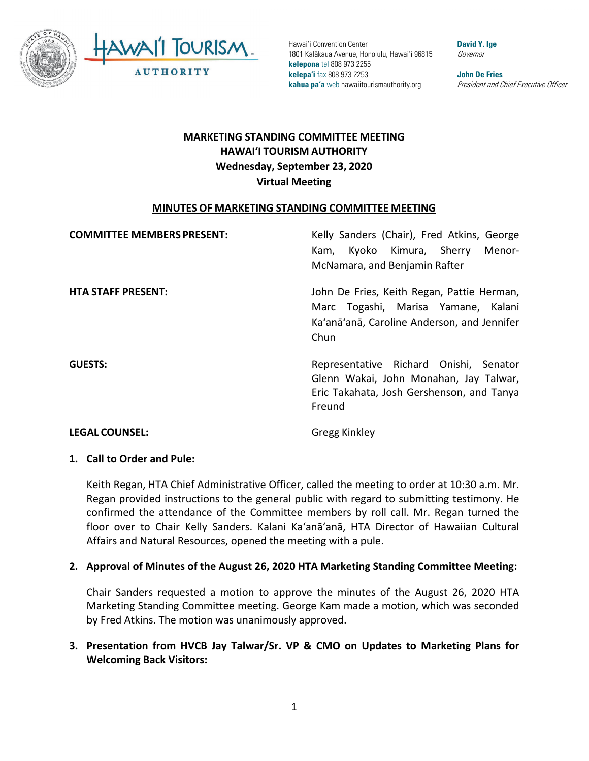

# **HAWAI'I TOURISM AUTHORITY MARKETING STANDING COMMITTEE MEETING Wednesday, September 23, 2020 Virtual Meeting**

## **MINUTES OF MARKETING STANDING COMMITTEE MEETING**

| <b>COMMITTEE MEMBERS PRESENT:</b> | Kelly Sanders (Chair), Fred Atkins, George<br>Kam, Kyoko Kimura, Sherry<br>Menor-                                                        |
|-----------------------------------|------------------------------------------------------------------------------------------------------------------------------------------|
|                                   | McNamara, and Benjamin Rafter                                                                                                            |
| <b>HTA STAFF PRESENT:</b>         | John De Fries, Keith Regan, Pattie Herman,<br>Marc Togashi, Marisa Yamane, Kalani<br>Ka'anā'anā, Caroline Anderson, and Jennifer<br>Chun |
| <b>GUESTS:</b>                    | Representative Richard Onishi, Senator<br>Glenn Wakai, John Monahan, Jay Talwar,<br>Eric Takahata, Josh Gershenson, and Tanya<br>Freund  |

#### **LEGAL COUNSEL:** Gregg Kinkley

## **1. Call to Order and Pule:**

Keith Regan, HTA Chief Administrative Officer, called the meeting to order at 10:30 a.m. Mr. Regan provided instructions to the general public with regard to submitting testimony. He confirmed the attendance of the Committee members by roll call. Mr. Regan turned the floor over to Chair Kelly Sanders. Kalani Ka'anā'anā, HTA Director of Hawaiian Cultural Affairs and Natural Resources, opened the meeting with a pule.

## **2. Approval of Minutes of the August 26, 2020 HTA Marketing Standing Committee Meeting:**

Chair Sanders requested a motion to approve the minutes of the August 26, 2020 HTA Marketing Standing Committee meeting. George Kam made a motion, which was seconded by Fred Atkins. The motion was unanimously approved.

## **3. Presentation from HVCB Jay Talwar/Sr. VP & CMO on Updates to Marketing Plans for Welcoming Back Visitors:**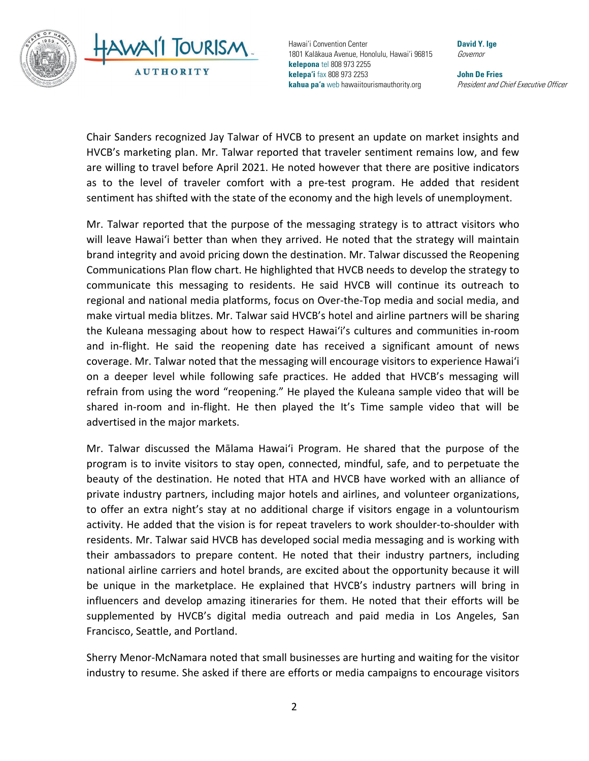

 Chair Sanders recognized Jay Talwar of HVCB to present an update on market insights and HVCB's marketing plan. Mr. Talwar reported that traveler sentiment remains low, and few are willing to travel before April 2021. He noted however that there are positive indicators as to the level of traveler comfort with a pre-test program. He added that resident sentiment has shifted with the state of the economy and the high levels of unemployment.

 Mr. Talwar reported that the purpose of the messaging strategy is to attract visitors who brand integrity and avoid pricing down the destination. Mr. Talwar discussed the Reopening coverage. Mr. Talwar noted that the messaging will encourage visitors to experience Hawai'i shared in-room and in-flight. He then played the It's Time sample video that will be will leave Hawai'i better than when they arrived. He noted that the strategy will maintain Communications Plan flow chart. He highlighted that HVCB needs to develop the strategy to communicate this messaging to residents. He said HVCB will continue its outreach to regional and national media platforms, focus on Over-the-Top media and social media, and make virtual media blitzes. Mr. Talwar said HVCB's hotel and airline partners will be sharing the Kuleana messaging about how to respect Hawai'i's cultures and communities in-room and in-flight. He said the reopening date has received a significant amount of news on a deeper level while following safe practices. He added that HVCB's messaging will refrain from using the word "reopening." He played the Kuleana sample video that will be advertised in the major markets.

 national airline carriers and hotel brands, are excited about the opportunity because it will be unique in the marketplace. He explained that HVCB's industry partners will bring in Mr. Talwar discussed the Mālama Hawai'i Program. He shared that the purpose of the program is to invite visitors to stay open, connected, mindful, safe, and to perpetuate the beauty of the destination. He noted that HTA and HVCB have worked with an alliance of private industry partners, including major hotels and airlines, and volunteer organizations, to offer an extra night's stay at no additional charge if visitors engage in a voluntourism activity. He added that the vision is for repeat travelers to work shoulder-to-shoulder with residents. Mr. Talwar said HVCB has developed social media messaging and is working with their ambassadors to prepare content. He noted that their industry partners, including influencers and develop amazing itineraries for them. He noted that their efforts will be supplemented by HVCB's digital media outreach and paid media in Los Angeles, San Francisco, Seattle, and Portland.

Sherry Menor-McNamara noted that small businesses are hurting and waiting for the visitor industry to resume. She asked if there are efforts or media campaigns to encourage visitors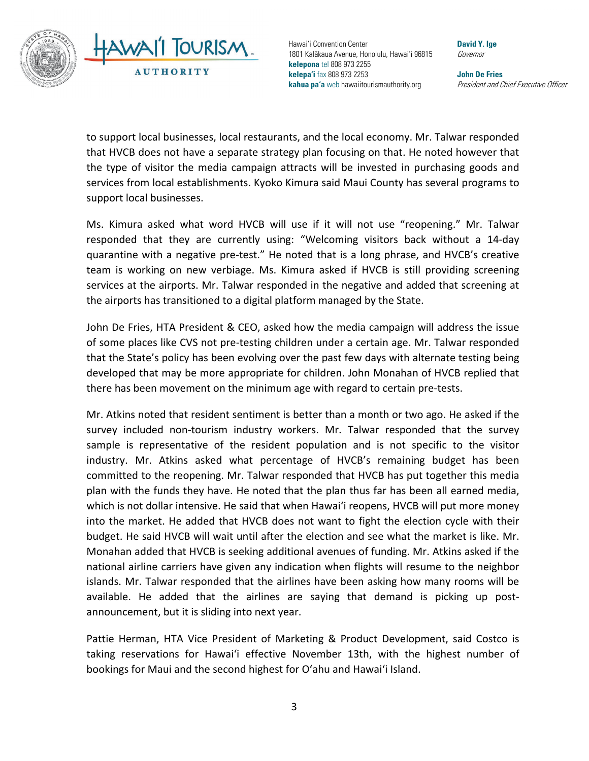

 to support local businesses, local restaurants, and the local economy. Mr. Talwar responded that HVCB does not have a separate strategy plan focusing on that. He noted however that the type of visitor the media campaign attracts will be invested in purchasing goods and services from local establishments. Kyoko Kimura said Maui County has several programs to support local businesses.

 quarantine with a negative pre-test." He noted that is a long phrase, and HVCB's creative Ms. Kimura asked what word HVCB will use if it will not use "reopening." Mr. Talwar responded that they are currently using: "Welcoming visitors back without a 14-day team is working on new verbiage. Ms. Kimura asked if HVCB is still providing screening services at the airports. Mr. Talwar responded in the negative and added that screening at the airports has transitioned to a digital platform managed by the State.

 of some places like CVS not pre-testing children under a certain age. Mr. Talwar responded John De Fries, HTA President & CEO, asked how the media campaign will address the issue that the State's policy has been evolving over the past few days with alternate testing being developed that may be more appropriate for children. John Monahan of HVCB replied that there has been movement on the minimum age with regard to certain pre-tests.

 sample is representative of the resident population and is not specific to the visitor committed to the reopening. Mr. Talwar responded that HVCB has put together this media plan with the funds they have. He noted that the plan thus far has been all earned media, available. He added that the airlines are saying that demand is picking up post-Mr. Atkins noted that resident sentiment is better than a month or two ago. He asked if the survey included non-tourism industry workers. Mr. Talwar responded that the survey industry. Mr. Atkins asked what percentage of HVCB's remaining budget has been which is not dollar intensive. He said that when Hawai'i reopens, HVCB will put more money into the market. He added that HVCB does not want to fight the election cycle with their budget. He said HVCB will wait until after the election and see what the market is like. Mr. Monahan added that HVCB is seeking additional avenues of funding. Mr. Atkins asked if the national airline carriers have given any indication when flights will resume to the neighbor islands. Mr. Talwar responded that the airlines have been asking how many rooms will be announcement, but it is sliding into next year.

 Pattie Herman, HTA Vice President of Marketing & Product Development, said Costco is bookings for Maui and the second highest for Oʻahu and Hawai'i Island. taking reservations for Hawai'i effective November 13th, with the highest number of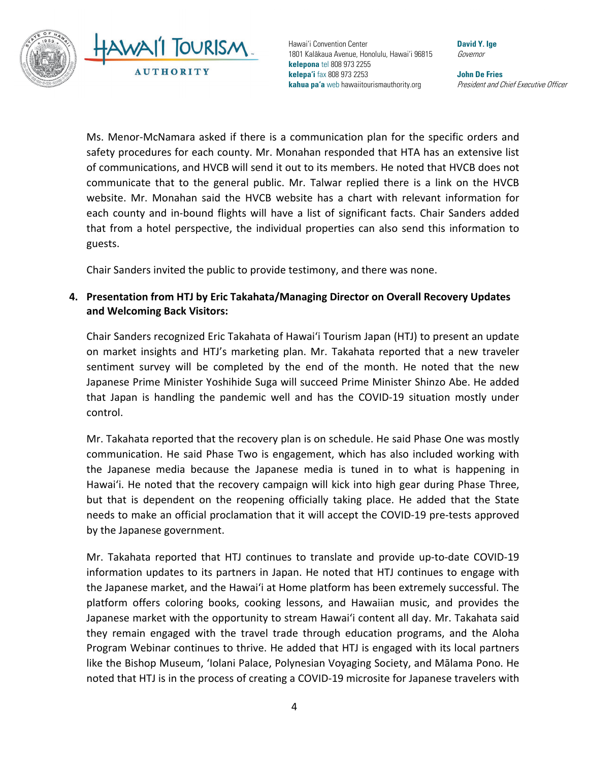

Ms. Menor-McNamara asked if there is a communication plan for the specific orders and safety procedures for each county. Mr. Monahan responded that HTA has an extensive list of communications, and HVCB will send it out to its members. He noted that HVCB does not communicate that to the general public. Mr. Talwar replied there is a link on the HVCB website. Mr. Monahan said the HVCB website has a chart with relevant information for each county and in-bound flights will have a list of significant facts. Chair Sanders added that from a hotel perspective, the individual properties can also send this information to guests.

Chair Sanders invited the public to provide testimony, and there was none.

## **4. Presentation from HTJ by Eric Takahata/Managing Director on Overall Recovery Updates and Welcoming Back Visitors:**

 on market insights and HTJ's marketing plan. Mr. Takahata reported that a new traveler sentiment survey will be completed by the end of the month. He noted that the new Japanese Prime Minister Yoshihide Suga will succeed Prime Minister Shinzo Abe. He added Chair Sanders recognized Eric Takahata of Hawai'i Tourism Japan (HTJ) to present an update that Japan is handling the pandemic well and has the COVID-19 situation mostly under control.

 but that is dependent on the reopening officially taking place. He added that the State Mr. Takahata reported that the recovery plan is on schedule. He said Phase One was mostly communication. He said Phase Two is engagement, which has also included working with the Japanese media because the Japanese media is tuned in to what is happening in Hawai'i. He noted that the recovery campaign will kick into high gear during Phase Three, needs to make an official proclamation that it will accept the COVID-19 pre-tests approved by the Japanese government.

Mr. Takahata reported that HTJ continues to translate and provide up-to-date COVID-19 information updates to its partners in Japan. He noted that HTJ continues to engage with the Japanese market, and the Hawai'i at Home platform has been extremely successful. The platform offers coloring books, cooking lessons, and Hawaiian music, and provides the Japanese market with the opportunity to stream Hawai'i content all day. Mr. Takahata said they remain engaged with the travel trade through education programs, and the Aloha Program Webinar continues to thrive. He added that HTJ is engaged with its local partners like the Bishop Museum, 'Iolani Palace, Polynesian Voyaging Society, and Mālama Pono. He noted that HTJ is in the process of creating a COVID-19 microsite for Japanese travelers with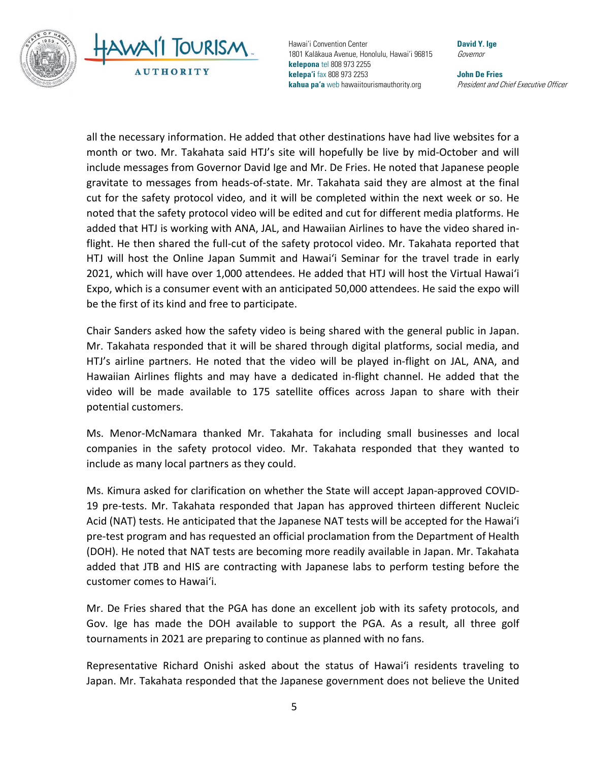



 gravitate to messages from heads-of-state. Mr. Takahata said they are almost at the final cut for the safety protocol video, and it will be completed within the next week or so. He added that HTJ is working with ANA, JAL, and Hawaiian Airlines to have the video shared in- flight. He then shared the full-cut of the safety protocol video. Mr. Takahata reported that all the necessary information. He added that other destinations have had live websites for a month or two. Mr. Takahata said HTJ's site will hopefully be live by mid-October and will include messages from Governor David Ige and Mr. De Fries. He noted that Japanese people noted that the safety protocol video will be edited and cut for different media platforms. He HTJ will host the Online Japan Summit and Hawai'i Seminar for the travel trade in early 2021, which will have over 1,000 attendees. He added that HTJ will host the Virtual Hawai'i Expo, which is a consumer event with an anticipated 50,000 attendees. He said the expo will be the first of its kind and free to participate.

 HTJ's airline partners. He noted that the video will be played in-flight on JAL, ANA, and video will be made available to 175 satellite offices across Japan to share with their Chair Sanders asked how the safety video is being shared with the general public in Japan. Mr. Takahata responded that it will be shared through digital platforms, social media, and Hawaiian Airlines flights and may have a dedicated in-flight channel. He added that the potential customers.

 companies in the safety protocol video. Mr. Takahata responded that they wanted to Ms. Menor-McNamara thanked Mr. Takahata for including small businesses and local include as many local partners as they could.

 Acid (NAT) tests. He anticipated that the Japanese NAT tests will be accepted for the Hawai'i added that JTB and HIS are contracting with Japanese labs to perform testing before the Ms. Kimura asked for clarification on whether the State will accept Japan-approved COVID-19 pre-tests. Mr. Takahata responded that Japan has approved thirteen different Nucleic pre-test program and has requested an official proclamation from the Department of Health (DOH). He noted that NAT tests are becoming more readily available in Japan. Mr. Takahata customer comes to Hawai'i.

 tournaments in 2021 are preparing to continue as planned with no fans. Mr. De Fries shared that the PGA has done an excellent job with its safety protocols, and Gov. Ige has made the DOH available to support the PGA. As a result, all three golf

 Representative Richard Onishi asked about the status of Hawai'i residents traveling to Japan. Mr. Takahata responded that the Japanese government does not believe the United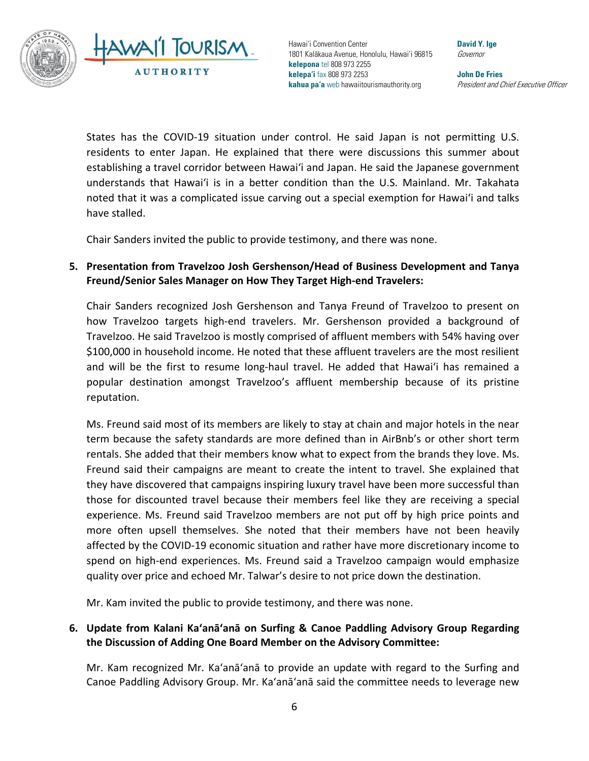

 States has the COVID-19 situation under control. He said Japan is not permitting U.S. residents to enter Japan. He explained that there were discussions this summer about understands that Hawai'i is in a better condition than the U.S. Mainland. Mr. Takahata establishing a travel corridor between Hawai'i and Japan. He said the Japanese government noted that it was a complicated issue carving out a special exemption for Hawai'i and talks have stalled.

Chair Sanders invited the public to provide testimony, and there was none.

## **5. Presentation from Travelzoo Josh Gershenson/Head of Business Development and Tanya Freund/Senior Sales Manager on How They Target High-end Travelers:**

 Travelzoo. He said Travelzoo is mostly comprised of affluent members with 54% having over Chair Sanders recognized Josh Gershenson and Tanya Freund of Travelzoo to present on how Travelzoo targets high-end travelers. Mr. Gershenson provided a background of \$100,000 in household income. He noted that these affluent travelers are the most resilient and will be the first to resume long-haul travel. He added that Hawai'i has remained a popular destination amongst Travelzoo's affluent membership because of its pristine reputation.

 term because the safety standards are more defined than in AirBnb's or other short term they have discovered that campaigns inspiring luxury travel have been more successful than Ms. Freund said most of its members are likely to stay at chain and major hotels in the near rentals. She added that their members know what to expect from the brands they love. Ms. Freund said their campaigns are meant to create the intent to travel. She explained that those for discounted travel because their members feel like they are receiving a special experience. Ms. Freund said Travelzoo members are not put off by high price points and more often upsell themselves. She noted that their members have not been heavily affected by the COVID-19 economic situation and rather have more discretionary income to spend on high-end experiences. Ms. Freund said a Travelzoo campaign would emphasize quality over price and echoed Mr. Talwar's desire to not price down the destination.

Mr. Kam invited the public to provide testimony, and there was none.

## **6. Update from Kalani Ka'anā'anā on Surfing & Canoe Paddling Advisory Group Regarding the Discussion of Adding One Board Member on the Advisory Committee:**

 Canoe Paddling Advisory Group. Mr. Ka'anā'anā said the committee needs to leverage new Mr. Kam recognized Mr. Ka'anā'anā to provide an update with regard to the Surfing and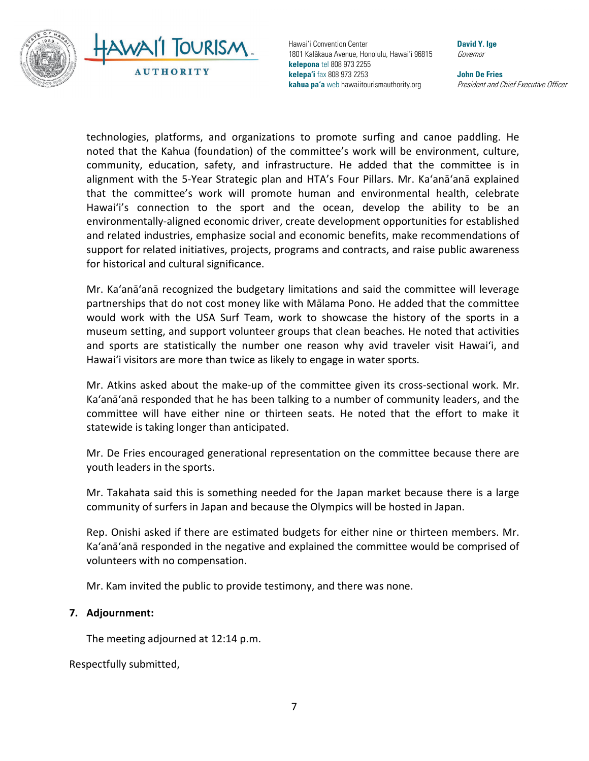

 technologies, platforms, and organizations to promote surfing and canoe paddling. He alignment with the 5-Year Strategic plan and HTA's Four Pillars. Mr. Ka'anā'anā explained that the committee's work will promote human and environmental health, celebrate noted that the Kahua (foundation) of the committee's work will be environment, culture, community, education, safety, and infrastructure. He added that the committee is in Hawai'i's connection to the sport and the ocean, develop the ability to be an environmentally-aligned economic driver, create development opportunities for established and related industries, emphasize social and economic benefits, make recommendations of support for related initiatives, projects, programs and contracts, and raise public awareness for historical and cultural significance.

 Mr. Ka'anā'anā recognized the budgetary limitations and said the committee will leverage partnerships that do not cost money like with Mālama Pono. He added that the committee would work with the USA Surf Team, work to showcase the history of the sports in a and sports are statistically the number one reason why avid traveler visit Hawai'i, and museum setting, and support volunteer groups that clean beaches. He noted that activities Hawai'i visitors are more than twice as likely to engage in water sports.

 committee will have either nine or thirteen seats. He noted that the effort to make it Mr. Atkins asked about the make-up of the committee given its cross-sectional work. Mr. Ka'anā'anā responded that he has been talking to a number of community leaders, and the statewide is taking longer than anticipated.

Mr. De Fries encouraged generational representation on the committee because there are youth leaders in the sports.

Mr. Takahata said this is something needed for the Japan market because there is a large community of surfers in Japan and because the Olympics will be hosted in Japan.

 Rep. Onishi asked if there are estimated budgets for either nine or thirteen members. Mr. volunteers with no compensation. Ka'anā'anā responded in the negative and explained the committee would be comprised of

Mr. Kam invited the public to provide testimony, and there was none.

## **7. Adjournment:**

The meeting adjourned at 12:14 p.m.

Respectfully submitted,